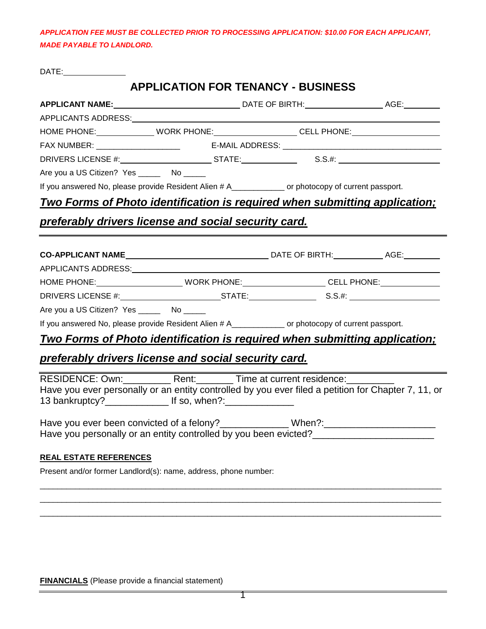*APPLICATION FEE MUST BE COLLECTED PRIOR TO PROCESSING APPLICATION: \$10.00 FOR EACH APPLICANT, MADE PAYABLE TO LANDLORD.*

DATE:

# **APPLICATION FOR TENANCY - BUSINESS**

| APPLICANTS ADDRESS: NAMEL AND APPLICANTS ADDRESS:                                                                                                    |  |  |  |  |  |
|------------------------------------------------------------------------------------------------------------------------------------------------------|--|--|--|--|--|
| HOME PHONE:_______________WORK PHONE:____________________CELL PHONE:_____________                                                                    |  |  |  |  |  |
| FAX NUMBER: _________________________    E-MAIL ADDRESS: ________________________                                                                    |  |  |  |  |  |
| DRIVERS LICENSE #: ____________________________STATE:____________________________                                                                    |  |  |  |  |  |
| Are you a US Citizen? Yes ______ No _____                                                                                                            |  |  |  |  |  |
| If you answered No, please provide Resident Alien # A___________ or photocopy of current passport.                                                   |  |  |  |  |  |
| Two Forms of Photo identification is required when submitting application;                                                                           |  |  |  |  |  |
| <u>preferably drivers license and social security card.</u>                                                                                          |  |  |  |  |  |
|                                                                                                                                                      |  |  |  |  |  |
|                                                                                                                                                      |  |  |  |  |  |
|                                                                                                                                                      |  |  |  |  |  |
| HOME PHONE: _________________________WORK PHONE: ______________________CELL PHONE: _________________                                                 |  |  |  |  |  |
|                                                                                                                                                      |  |  |  |  |  |
| Are you a US Citizen? Yes ________ No ______                                                                                                         |  |  |  |  |  |
| If you answered No, please provide Resident Alien # A___________ or photocopy of current passport.                                                   |  |  |  |  |  |
| <u>Two Forms of Photo identification is required when submitting application;</u>                                                                    |  |  |  |  |  |
| preferably drivers license and social security card.                                                                                                 |  |  |  |  |  |
| RESIDENCE: Own: ____________ Rent: ________ Time at current residence: _________                                                                     |  |  |  |  |  |
| Have you ever personally or an entity controlled by you ever filed a petition for Chapter 7, 11, or                                                  |  |  |  |  |  |
| Have you ever been convicted of a felony?_______________When?:__________________<br>Have you personally or an entity controlled by you been evicted? |  |  |  |  |  |
| <b>REAL ESTATE REFERENCES</b>                                                                                                                        |  |  |  |  |  |
| Present and/or former Landlord(s): name, address, phone number:                                                                                      |  |  |  |  |  |
|                                                                                                                                                      |  |  |  |  |  |
|                                                                                                                                                      |  |  |  |  |  |
|                                                                                                                                                      |  |  |  |  |  |

**FINANCIALS** (Please provide a financial statement)